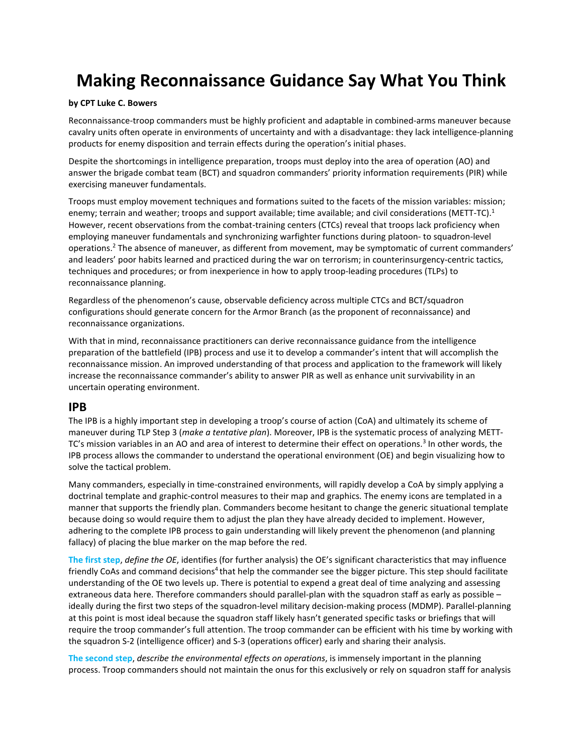# **Making Reconnaissance Guidance Say What You Think**

#### **by CPT Luke C. Bowers**

Reconnaissance-troop commanders must be highly proficient and adaptable in combined-arms maneuver because cavalry units often operate in environments of uncertainty and with a disadvantage: they lack intelligence-planning products for enemy disposition and terrain effects during the operation's initial phases.

Despite the shortcomings in intelligence preparation, troops must deploy into the area of operation (AO) and answer the brigade combat team (BCT) and squadron commanders' priority information requirements (PIR) while exercising maneuver fundamentals.

Troops must employ movement techniques and formations suited to the facets of the mission variables: mission; enemy; terrain and weather; troops and support available; time available; and civil considerations (METT-TC).<sup>1</sup> However, recent observations from the combat-training centers (CTCs) reveal that troops lack proficiency when employing maneuver fundamentals and synchronizing warfighter functions during platoon- to squadron-level operations. <sup>2</sup> The absence of maneuver, as different from movement, may be symptomatic of current commanders' and leaders' poor habits learned and practiced during the war on terrorism; in counterinsurgency-centric tactics, techniques and procedures; or from inexperience in how to apply troop-leading procedures (TLPs) to reconnaissance planning.

Regardless of the phenomenon's cause, observable deficiency across multiple CTCs and BCT/squadron configurations should generate concern for the Armor Branch (as the proponent of reconnaissance) and reconnaissance organizations.

With that in mind, reconnaissance practitioners can derive reconnaissance guidance from the intelligence preparation of the battlefield (IPB) process and use it to develop a commander's intent that will accomplish the reconnaissance mission. An improved understanding of that process and application to the framework will likely increase the reconnaissance commander's ability to answer PIR as well as enhance unit survivability in an uncertain operating environment.

#### **IPB**

The IPB is a highly important step in developing a troop's course of action (CoA) and ultimately its scheme of maneuver during TLP Step 3 (*make a tentative plan*). Moreover, IPB is the systematic process of analyzing METT-TC's mission variables in an AO and area of interest to determine their effect on operations.<sup>3</sup> In other words, the IPB process allows the commander to understand the operational environment (OE) and begin visualizing how to solve the tactical problem.

Many commanders, especially in time-constrained environments, will rapidly develop a CoA by simply applying a doctrinal template and graphic-control measures to their map and graphics. The enemy icons are templated in a manner that supports the friendly plan. Commanders become hesitant to change the generic situational template because doing so would require them to adjust the plan they have already decided to implement. However, adhering to the complete IPB process to gain understanding will likely prevent the phenomenon (and planning fallacy) of placing the blue marker on the map before the red.

**The first step**, *define the OE*, identifies (for further analysis) the OE's significant characteristics that may influence friendly CoAs and command decisions<sup>4</sup> that help the commander see the bigger picture. This step should facilitate understanding of the OE two levels up. There is potential to expend a great deal of time analyzing and assessing extraneous data here. Therefore commanders should parallel-plan with the squadron staff as early as possible – ideally during the first two steps of the squadron-level military decision-making process (MDMP). Parallel-planning at this point is most ideal because the squadron staff likely hasn't generated specific tasks or briefings that will require the troop commander's full attention. The troop commander can be efficient with his time by working with the squadron S-2 (intelligence officer) and S-3 (operations officer) early and sharing their analysis.

**The second step**, *describe the environmental effects on operations*, is immensely important in the planning process. Troop commanders should not maintain the onus for this exclusively or rely on squadron staff for analysis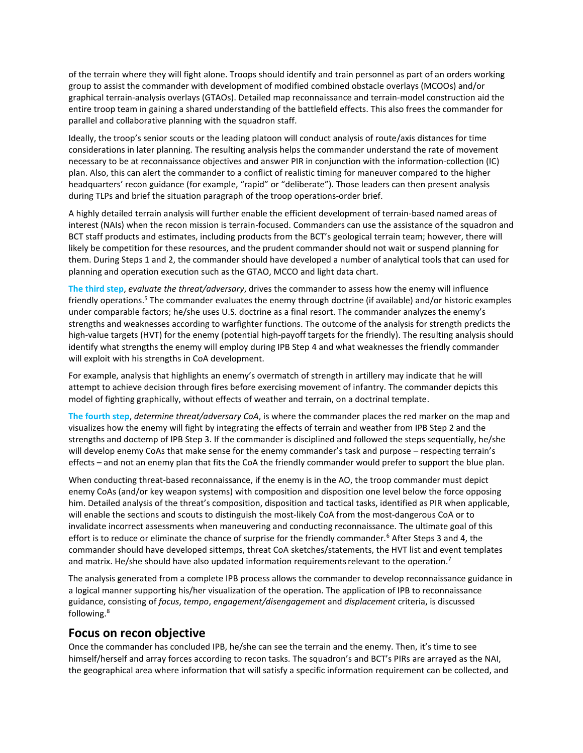of the terrain where they will fight alone. Troops should identify and train personnel as part of an orders working group to assist the commander with development of modified combined obstacle overlays (MCOOs) and/or graphical terrain-analysis overlays (GTAOs). Detailed map reconnaissance and terrain-model construction aid the entire troop team in gaining a shared understanding of the battlefield effects. This also frees the commander for parallel and collaborative planning with the squadron staff.

Ideally, the troop's senior scouts or the leading platoon will conduct analysis of route/axis distances for time considerations in later planning. The resulting analysis helps the commander understand the rate of movement necessary to be at reconnaissance objectives and answer PIR in conjunction with the information-collection (IC) plan. Also, this can alert the commander to a conflict of realistic timing for maneuver compared to the higher headquarters' recon guidance (for example, "rapid" or "deliberate"). Those leaders can then present analysis during TLPs and brief the situation paragraph of the troop operations-order brief.

A highly detailed terrain analysis will further enable the efficient development of terrain-based named areas of interest (NAIs) when the recon mission is terrain-focused. Commanders can use the assistance of the squadron and BCT staff products and estimates, including products from the BCT's geological terrain team; however, there will likely be competition for these resources, and the prudent commander should not wait or suspend planning for them. During Steps 1 and 2, the commander should have developed a number of analytical tools that can used for planning and operation execution such as the GTAO, MCCO and light data chart.

**The third step**, *evaluate the threat/adversary*, drives the commander to assess how the enemy will influence friendly operations.<sup>5</sup> The commander evaluates the enemy through doctrine (if available) and/or historic examples under comparable factors; he/she uses U.S. doctrine as a final resort. The commander analyzes the enemy's strengths and weaknesses according to warfighter functions. The outcome of the analysis for strength predicts the high-value targets (HVT) for the enemy (potential high-payoff targets for the friendly). The resulting analysis should identify what strengths the enemy will employ during IPB Step 4 and what weaknesses the friendly commander will exploit with his strengths in CoA development.

For example, analysis that highlights an enemy's overmatch of strength in artillery may indicate that he will attempt to achieve decision through fires before exercising movement of infantry. The commander depicts this model of fighting graphically, without effects of weather and terrain, on a doctrinal template.

**The fourth step**, *determine threat/adversary CoA*, is where the commander places the red marker on the map and visualizes how the enemy will fight by integrating the effects of terrain and weather from IPB Step 2 and the strengths and doctemp of IPB Step 3. If the commander is disciplined and followed the steps sequentially, he/she will develop enemy CoAs that make sense for the enemy commander's task and purpose – respecting terrain's effects – and not an enemy plan that fits the CoA the friendly commander would prefer to support the blue plan.

When conducting threat-based reconnaissance, if the enemy is in the AO, the troop commander must depict enemy CoAs (and/or key weapon systems) with composition and disposition one level below the force opposing him. Detailed analysis of the threat's composition, disposition and tactical tasks, identified as PIR when applicable, will enable the sections and scouts to distinguish the most-likely CoA from the most-dangerous CoA or to invalidate incorrect assessments when maneuvering and conducting reconnaissance. The ultimate goal of this effort is to reduce or eliminate the chance of surprise for the friendly commander.<sup>6</sup> After Steps 3 and 4, the commander should have developed sittemps, threat CoA sketches/statements, the HVT list and event templates and matrix. He/she should have also updated information requirements relevant to the operation.<sup>7</sup>

The analysis generated from a complete IPB process allows the commander to develop reconnaissance guidance in a logical manner supporting his/her visualization of the operation. The application of IPB to reconnaissance guidance, consisting of *focus*, *tempo*, *engagement/disengagement* and *displacement* criteria, is discussed following. 8

# **Focus on recon objective**

Once the commander has concluded IPB, he/she can see the terrain and the enemy. Then, it's time to see himself/herself and array forces according to recon tasks. The squadron's and BCT's PIRs are arrayed as the NAI, the geographical area where information that will satisfy a specific information requirement can be collected, and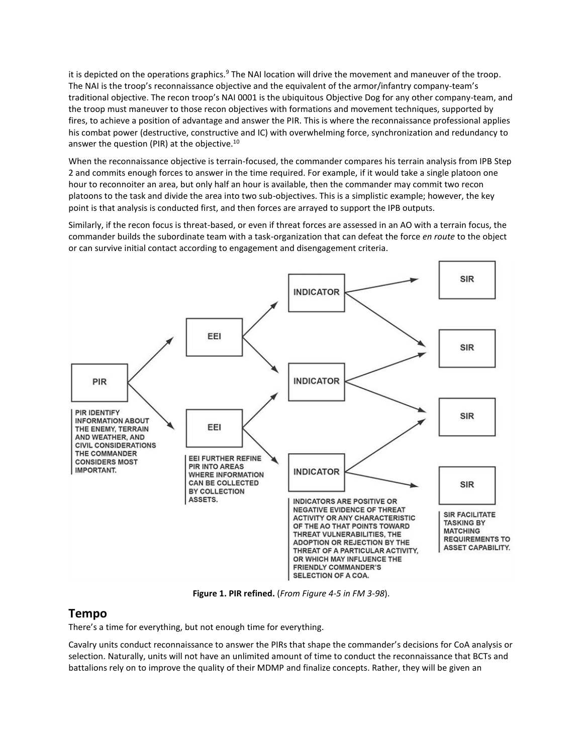it is depicted on the operations graphics.<sup>9</sup> The NAI location will drive the movement and maneuver of the troop. The NAI is the troop's reconnaissance objective and the equivalent of the armor/infantry company-team's traditional objective. The recon troop's NAI 0001 is the ubiquitous Objective Dog for any other company-team, and the troop must maneuver to those recon objectives with formations and movement techniques, supported by fires, to achieve a position of advantage and answer the PIR. This is where the reconnaissance professional applies his combat power (destructive, constructive and IC) with overwhelming force, synchronization and redundancy to answer the question (PIR) at the objective.<sup>10</sup>

When the reconnaissance objective is terrain-focused, the commander compares his terrain analysis from IPB Step 2 and commits enough forces to answer in the time required. For example, if it would take a single platoon one hour to reconnoiter an area, but only half an hour is available, then the commander may commit two recon platoons to the task and divide the area into two sub-objectives. This is a simplistic example; however, the key point is that analysis is conducted first, and then forces are arrayed to support the IPB outputs.

Similarly, if the recon focus is threat-based, or even if threat forces are assessed in an AO with a terrain focus, the commander builds the subordinate team with a task-organization that can defeat the force *en route* to the object or can survive initial contact according to engagement and disengagement criteria.



**Figure 1. PIR refined.** (*From Figure 4-5 in FM 3-98*).

# **Tempo**

There's a time for everything, but not enough time for everything.

Cavalry units conduct reconnaissance to answer the PIRs that shape the commander's decisions for CoA analysis or selection. Naturally, units will not have an unlimited amount of time to conduct the reconnaissance that BCTs and battalions rely on to improve the quality of their MDMP and finalize concepts. Rather, they will be given an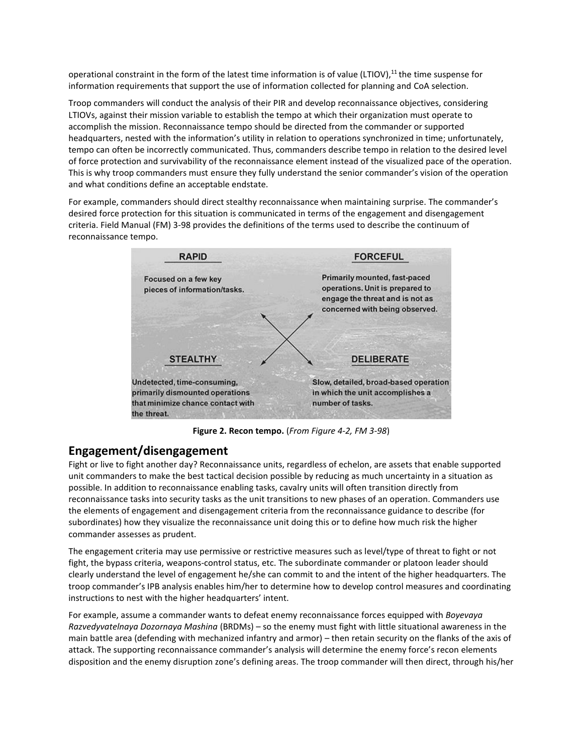operational constraint in the form of the latest time information is of value (LTIOV), <sup>11</sup> the time suspense for information requirements that support the use of information collected for planning and CoA selection.

Troop commanders will conduct the analysis of their PIR and develop reconnaissance objectives, considering LTIOVs, against their mission variable to establish the tempo at which their organization must operate to accomplish the mission. Reconnaissance tempo should be directed from the commander or supported headquarters, nested with the information's utility in relation to operations synchronized in time; unfortunately, tempo can often be incorrectly communicated. Thus, commanders describe tempo in relation to the desired level of force protection and survivability of the reconnaissance element instead of the visualized pace of the operation. This is why troop commanders must ensure they fully understand the senior commander's vision of the operation and what conditions define an acceptable endstate.

For example, commanders should direct stealthy reconnaissance when maintaining surprise. The commander's desired force protection for this situation is communicated in terms of the engagement and disengagement criteria. Field Manual (FM) 3-98 provides the definitions of the terms used to describe the continuum of reconnaissance tempo.



**Figure 2. Recon tempo.** (*From Figure 4-2, FM 3-98*)

# **Engagement/disengagement**

Fight or live to fight another day? Reconnaissance units, regardless of echelon, are assets that enable supported unit commanders to make the best tactical decision possible by reducing as much uncertainty in a situation as possible. In addition to reconnaissance enabling tasks, cavalry units will often transition directly from reconnaissance tasks into security tasks as the unit transitions to new phases of an operation. Commanders use the elements of engagement and disengagement criteria from the reconnaissance guidance to describe (for subordinates) how they visualize the reconnaissance unit doing this or to define how much risk the higher commander assesses as prudent.

The engagement criteria may use permissive or restrictive measures such as level/type of threat to fight or not fight, the bypass criteria, weapons-control status, etc. The subordinate commander or platoon leader should clearly understand the level of engagement he/she can commit to and the intent of the higher headquarters. The troop commander's IPB analysis enables him/her to determine how to develop control measures and coordinating instructions to nest with the higher headquarters' intent.

For example, assume a commander wants to defeat enemy reconnaissance forces equipped with *Boyevaya Razvedyvatelnaya Dozornaya Mashina* (BRDMs) – so the enemy must fight with little situational awareness in the main battle area (defending with mechanized infantry and armor) – then retain security on the flanks of the axis of attack. The supporting reconnaissance commander's analysis will determine the enemy force's recon elements disposition and the enemy disruption zone's defining areas. The troop commander will then direct, through his/her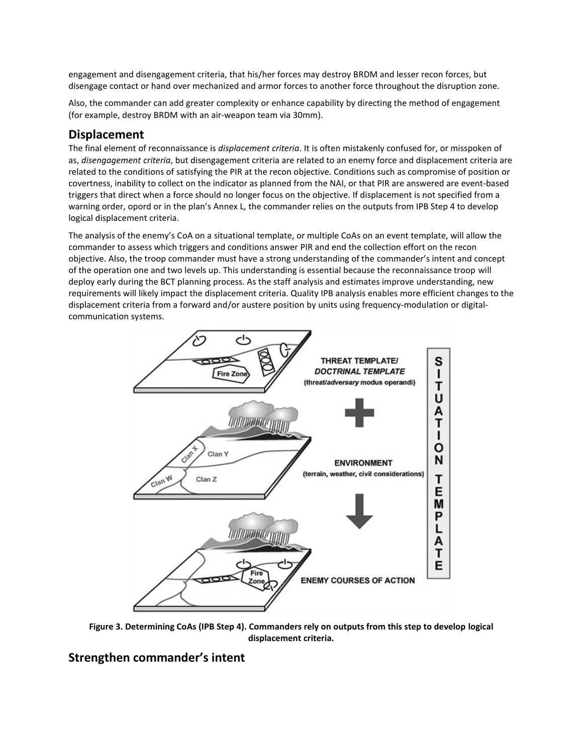engagement and disengagement criteria, that his/her forces may destroy BRDM and lesser recon forces, but disengage contact or hand over mechanized and armor forces to another force throughout the disruption zone.

Also, the commander can add greater complexity or enhance capability by directing the method of engagement (for example, destroy BRDM with an air-weapon team via 30mm).

# **Displacement**

The final element of reconnaissance is *displacement criteria*. It is often mistakenly confused for, or misspoken of as, *disengagement criteria*, but disengagement criteria are related to an enemy force and displacement criteria are related to the conditions of satisfying the PIR at the recon objective. Conditions such as compromise of position or covertness, inability to collect on the indicator as planned from the NAI, or that PIR are answered are event-based triggers that direct when a force should no longer focus on the objective. If displacement is not specified from a warning order, opord or in the plan's Annex L, the commander relies on the outputs from IPB Step 4 to develop logical displacement criteria.

The analysis of the enemy's CoA on a situational template, or multiple CoAs on an event template, will allow the commander to assess which triggers and conditions answer PIR and end the collection effort on the recon objective. Also, the troop commander must have a strong understanding of the commander's intent and concept of the operation one and two levels up. This understanding is essential because the reconnaissance troop will deploy early during the BCT planning process. As the staff analysis and estimates improve understanding, new requirements will likely impact the displacement criteria. Quality IPB analysis enables more efficient changes to the displacement criteria from a forward and/or austere position by units using frequency-modulation or digitalcommunication systems.



**Figure 3. Determining CoAs (IPB Step 4). Commanders rely on outputs from this step to develop logical displacement criteria.**

# **Strengthen commander's intent**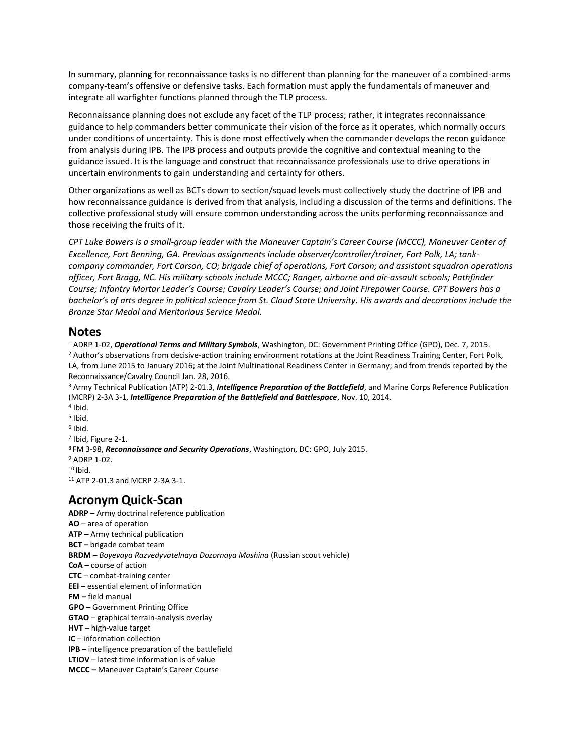In summary, planning for reconnaissance tasks is no different than planning for the maneuver of a combined-arms company-team's offensive or defensive tasks. Each formation must apply the fundamentals of maneuver and integrate all warfighter functions planned through the TLP process.

Reconnaissance planning does not exclude any facet of the TLP process; rather, it integrates reconnaissance guidance to help commanders better communicate their vision of the force as it operates, which normally occurs under conditions of uncertainty. This is done most effectively when the commander develops the recon guidance from analysis during IPB. The IPB process and outputs provide the cognitive and contextual meaning to the guidance issued. It is the language and construct that reconnaissance professionals use to drive operations in uncertain environments to gain understanding and certainty for others.

Other organizations as well as BCTs down to section/squad levels must collectively study the doctrine of IPB and how reconnaissance guidance is derived from that analysis, including a discussion of the terms and definitions. The collective professional study will ensure common understanding across the units performing reconnaissance and those receiving the fruits of it.

*CPT Luke Bowers is a small-group leader with the Maneuver Captain's Career Course (MCCC), Maneuver Center of Excellence, Fort Benning, GA. Previous assignments include observer/controller/trainer, Fort Polk, LA; tankcompany commander, Fort Carson, CO; brigade chief of operations, Fort Carson; and assistant squadron operations officer, Fort Bragg, NC. His military schools include MCCC; Ranger, airborne and air-assault schools; Pathfinder Course; Infantry Mortar Leader's Course; Cavalry Leader's Course; and Joint Firepower Course. CPT Bowers has a bachelor's of arts degree in political science from St. Cloud State University. His awards and decorations include the Bronze Star Medal and Meritorious Service Medal.*

### **Notes**

<sup>1</sup> ADRP 1-02, *Operational Terms and Military Symbols*, Washington, DC: Government Printing Office (GPO), Dec. 7, 2015. <sup>2</sup> Author's observations from decisive-action training environment rotations at the Joint Readiness Training Center, Fort Polk, LA, from June 2015 to January 2016; at the Joint Multinational Readiness Center in Germany; and from trends reported by the Reconnaissance/Cavalry Council Jan. 28, 2016.

<sup>3</sup> Army Technical Publication (ATP) 2-01.3, *Intelligence Preparation of the Battlefield*, and Marine Corps Reference Publication (MCRP) 2-3A 3-1, *Intelligence Preparation of the Battlefield and Battlespace*, Nov. 10, 2014.

- 4 Ibid.
- 5 Ibid.
- 6 Ibid.
- 7 Ibid, Figure 2-1.

<sup>8</sup>FM 3-98, *Reconnaissance and Security Operations*, Washington, DC: GPO, July 2015.

- <sup>9</sup> ADRP 1-02.
- $10$  Ibid.

<sup>11</sup> ATP 2-01.3 and MCRP 2-3A 3-1.

# **Acronym Quick-Scan**

**ADRP –** Army doctrinal reference publication **AO** – area of operation **ATP –** Army technical publication **BCT –** brigade combat team **BRDM –** *Boyevaya Razvedyvatelnaya Dozornaya Mashina* (Russian scout vehicle) **CoA –** course of action **CTC** – combat-training center **EEI –** essential element of information **FM –** field manual **GPO –** Government Printing Office **GTAO** – graphical terrain-analysis overlay **HVT** – high-value target **IC** – information collection **IPB –** intelligence preparation of the battlefield **LTIOV** – latest time information is of value **MCCC –** Maneuver Captain's Career Course